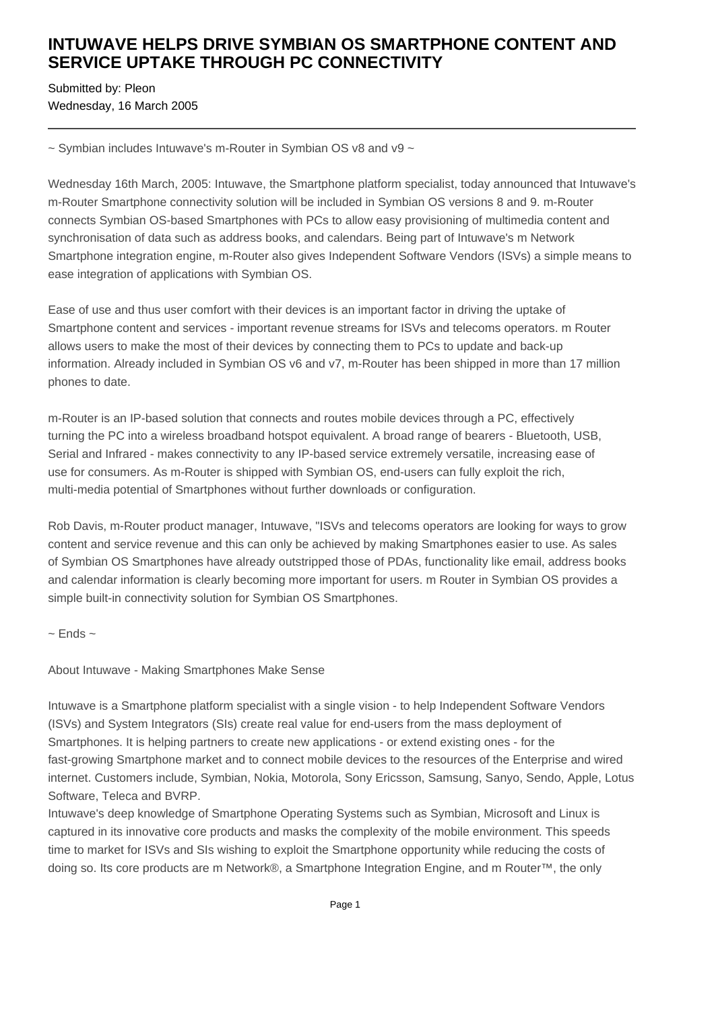## **INTUWAVE HELPS DRIVE SYMBIAN OS SMARTPHONE CONTENT AND SERVICE UPTAKE THROUGH PC CONNECTIVITY**

Submitted by: Pleon Wednesday, 16 March 2005

 $\sim$  Symbian includes Intuwave's m-Router in Symbian OS v8 and v9  $\sim$ 

Wednesday 16th March, 2005: Intuwave, the Smartphone platform specialist, today announced that Intuwave's m-Router Smartphone connectivity solution will be included in Symbian OS versions 8 and 9. m-Router connects Symbian OS-based Smartphones with PCs to allow easy provisioning of multimedia content and synchronisation of data such as address books, and calendars. Being part of Intuwave's m Network Smartphone integration engine, m-Router also gives Independent Software Vendors (ISVs) a simple means to ease integration of applications with Symbian OS.

Ease of use and thus user comfort with their devices is an important factor in driving the uptake of Smartphone content and services - important revenue streams for ISVs and telecoms operators. m Router allows users to make the most of their devices by connecting them to PCs to update and back-up information. Already included in Symbian OS v6 and v7, m-Router has been shipped in more than 17 million phones to date.

m-Router is an IP-based solution that connects and routes mobile devices through a PC, effectively turning the PC into a wireless broadband hotspot equivalent. A broad range of bearers - Bluetooth, USB, Serial and Infrared - makes connectivity to any IP-based service extremely versatile, increasing ease of use for consumers. As m-Router is shipped with Symbian OS, end-users can fully exploit the rich, multi-media potential of Smartphones without further downloads or configuration.

Rob Davis, m-Router product manager, Intuwave, "ISVs and telecoms operators are looking for ways to grow content and service revenue and this can only be achieved by making Smartphones easier to use. As sales of Symbian OS Smartphones have already outstripped those of PDAs, functionality like email, address books and calendar information is clearly becoming more important for users. m Router in Symbian OS provides a simple built-in connectivity solution for Symbian OS Smartphones.

 $\sim$  Ends  $\sim$ 

About Intuwave - Making Smartphones Make Sense

Intuwave is a Smartphone platform specialist with a single vision - to help Independent Software Vendors (ISVs) and System Integrators (SIs) create real value for end-users from the mass deployment of Smartphones. It is helping partners to create new applications - or extend existing ones - for the fast-growing Smartphone market and to connect mobile devices to the resources of the Enterprise and wired internet. Customers include, Symbian, Nokia, Motorola, Sony Ericsson, Samsung, Sanyo, Sendo, Apple, Lotus Software, Teleca and BVRP.

Intuwave's deep knowledge of Smartphone Operating Systems such as Symbian, Microsoft and Linux is captured in its innovative core products and masks the complexity of the mobile environment. This speeds time to market for ISVs and SIs wishing to exploit the Smartphone opportunity while reducing the costs of doing so. Its core products are m Network®, a Smartphone Integration Engine, and m Router™, the only